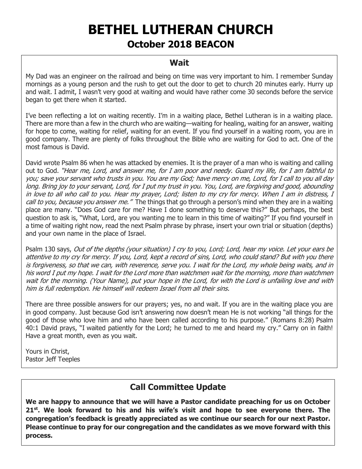# **BETHEL LUTHERAN CHURCH**

# **October 2018 BEACON**

#### **Wait**

My Dad was an engineer on the railroad and being on time was very important to him. I remember Sunday mornings as a young person and the rush to get out the door to get to church 20 minutes early. Hurry up and wait. I admit, I wasn't very good at waiting and would have rather come 30 seconds before the service began to get there when it started.

I've been reflecting a lot on waiting recently. I'm in a waiting place, Bethel Lutheran is in a waiting place. There are more than a few in the church who are waiting—waiting for healing, waiting for an answer, waiting for hope to come, waiting for relief, waiting for an event. If you find yourself in a waiting room, you are in good company. There are plenty of folks throughout the Bible who are waiting for God to act. One of the most famous is David.

David wrote Psalm 86 when he was attacked by enemies. It is the prayer of a man who is waiting and calling out to God. "Hear me, Lord, and answer me, for I am poor and needy. Guard my life, for I am faithful to you; save your servant who trusts in you. You are my God; have mercy on me, Lord, for I call to you all day long. Bring joy to your servant, Lord, for I put my trust in you. You, Lord, are forgiving and good, abounding in love to all who call to you. Hear my prayer, Lord; listen to my cry for mercy. When I am in distress, I call to you, because you answer me." The things that go through a person's mind when they are in a waiting place are many. "Does God care for me? Have I done something to deserve this?" But perhaps, the best question to ask is, "What, Lord, are you wanting me to learn in this time of waiting?" If you find yourself in a time of waiting right now, read the next Psalm phrase by phrase, insert your own trial or situation (depths) and your own name in the place of Israel.

Psalm 130 says, Out of the depths (your situation) I cry to you, Lord; Lord, hear my voice. Let your ears be attentive to my cry for mercy. If you, Lord, kept a record of sins, Lord, who could stand? But with you there is forgiveness, so that we can, with reverence, serve you. I wait for the Lord, my whole being waits, and in his word I put my hope. I wait for the Lord more than watchmen wait for the morning, more than watchmen wait for the morning. (Your Name), put your hope in the Lord, for with the Lord is unfailing love and with him is full redemption. He himself will redeem Israel from all their sins.

There are three possible answers for our prayers; yes, no and wait. If you are in the waiting place you are in good company. Just because God isn't answering now doesn't mean He is not working "all things for the good of those who love him and who have been called according to his purpose." (Romans 8:28) Psalm 40:1 David prays, "I waited patiently for the Lord; he turned to me and heard my cry." Carry on in faith! Have a great month, even as you wait.

Yours in Christ, Pastor Jeff Teeples

# **Call Committee Update**

**We are happy to announce that we will have a Pastor candidate preaching for us on October 21st. We look forward to his and his wife's visit and hope to see everyone there. The congregation's feedback is greatly appreciated as we continue our search for our next Pastor. Please continue to pray for our congregation and the candidates as we move forward with this process.**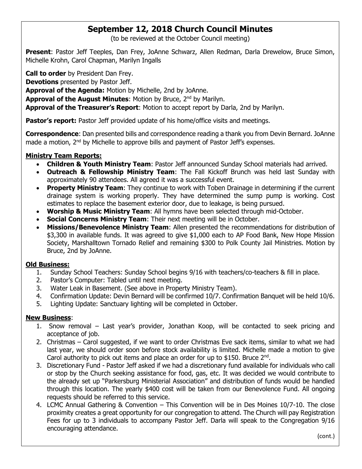# **September 12, 2018 Church Council Minutes**

(to be reviewed at the October Council meeting)

**Present**: Pastor Jeff Teeples, Dan Frey, JoAnne Schwarz, Allen Redman, Darla Drewelow, Bruce Simon, Michelle Krohn, Carol Chapman, Marilyn Ingalls

**Call to order** by President Dan Frey.

**Devotions** presented by Pastor Jeff.

**Approval of the Agenda:** Motion by Michelle, 2nd by JoAnne.

**Approval of the August Minutes: Motion by Bruce, 2<sup>nd</sup> by Marilyn.** 

**Approval of the Treasurer's Report**: Motion to accept report by Darla, 2nd by Marilyn.

**Pastor's report:** Pastor Jeff provided update of his home/office visits and meetings.

**Correspondence**: Dan presented bills and correspondence reading a thank you from Devin Bernard. JoAnne made a motion, 2<sup>nd</sup> by Michelle to approve bills and payment of Pastor Jeff's expenses.

#### **Ministry Team Reports:**

- **Children & Youth Ministry Team**: Pastor Jeff announced Sunday School materials had arrived.
- **Outreach & Fellowship Ministry Team**: The Fall Kickoff Brunch was held last Sunday with approximately 90 attendees. All agreed it was a successful event.
- **Property Ministry Team**: They continue to work with Toben Drainage in determining if the current drainage system is working properly. They have determined the sump pump is working. Cost estimates to replace the basement exterior door, due to leakage, is being pursued.
- **Worship & Music Ministry Team**: All hymns have been selected through mid-October.
- **Social Concerns Ministry Team:** Their next meeting will be in October.
- **Missions/Benevolence Ministry Team**: Allen presented the recommendations for distribution of \$3,300 in available funds. It was agreed to give \$1,000 each to AP Food Bank, New Hope Mission Society, Marshalltown Tornado Relief and remaining \$300 to Polk County Jail Ministries. Motion by Bruce, 2nd by JoAnne.

#### **Old Business:**

- 1. Sunday School Teachers: Sunday School begins 9/16 with teachers/co-teachers & fill in place.
- 2. Pastor's Computer: Tabled until next meeting.
- 3. Water Leak in Basement. (See above in Property Ministry Team).
- 4. Confirmation Update: Devin Bernard will be confirmed 10/7. Confirmation Banquet will be held 10/6.
- 5. Lighting Update: Sanctuary lighting will be completed in October.

#### **New Business**:

- 1. Snow removal Last year's provider, Jonathan Koop, will be contacted to seek pricing and acceptance of job.
- 2. Christmas Carol suggested, if we want to order Christmas Eve sack items, similar to what we had last year, we should order soon before stock availability is limited. Michelle made a motion to give Carol authority to pick out items and place an order for up to \$150. Bruce  $2^{nd}$ .
- 3. Discretionary Fund Pastor Jeff asked if we had a discretionary fund available for individuals who call or stop by the Church seeking assistance for food, gas, etc. It was decided we would contribute to the already set up "Parkersburg Ministerial Association" and distribution of funds would be handled through this location. The yearly \$400 cost will be taken from our Benevolence Fund. All ongoing requests should be referred to this service.
- 4. LCMC Annual Gathering & Convention This Convention will be in Des Moines 10/7-10. The close proximity creates a great opportunity for our congregation to attend. The Church will pay Registration Fees for up to 3 individuals to accompany Pastor Jeff. Darla will speak to the Congregation 9/16 encouraging attendance.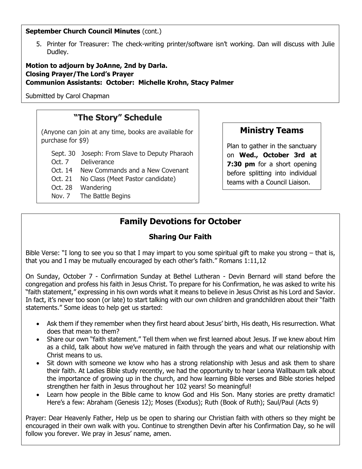#### **September Church Council Minutes (cont.)**

5. Printer for Treasurer: The check-writing printer/software isn't working. Dan will discuss with Julie Dudley.

**Motion to adjourn by JoAnne, 2nd by Darla. Closing Prayer/The Lord's Prayer Communion Assistants: October: Michelle Krohn, Stacy Palmer** 

Submitted by Carol Chapman

## **"The Story" Schedule**

(Anyone can join at any time, books are available for purchase for \$9)

Sept. 30 Joseph: From Slave to Deputy Pharaoh

Oct. 7 Deliverance

- Oct. 14 New Commands and a New Covenant
- Oct. 21 No Class (Meet Pastor candidate)
- Oct. 28 Wandering
- Nov. 7 The Battle Begins

#### **Ministry Teams**

Plan to gather in the sanctuary on **Wed., October 3rd at 7:30 pm** for a short opening before splitting into individual teams with a Council Liaison.

# **Family Devotions for October**

#### **Sharing Our Faith**

Bible Verse: "I long to see you so that I may impart to you some spiritual gift to make you strong – that is, that you and I may be mutually encouraged by each other's faith." Romans 1:11,12

On Sunday, October 7 - Confirmation Sunday at Bethel Lutheran - Devin Bernard will stand before the congregation and profess his faith in Jesus Christ. To prepare for his Confirmation, he was asked to write his "faith statement," expressing in his own words what it means to believe in Jesus Christ as his Lord and Savior. In fact, it's never too soon (or late) to start talking with our own children and grandchildren about their "faith statements." Some ideas to help get us started:

- Ask them if they remember when they first heard about Jesus' birth, His death, His resurrection. What does that mean to them?
- Share our own "faith statement." Tell them when we first learned about Jesus. If we knew about Him as a child, talk about how we've matured in faith through the years and what our relationship with Christ means to us.
- Sit down with someone we know who has a strong relationship with Jesus and ask them to share their faith. At Ladies Bible study recently, we had the opportunity to hear Leona Wallbaum talk about the importance of growing up in the church, and how learning Bible verses and Bible stories helped strengthen her faith in Jesus throughout her 102 years! So meaningful!
- Learn how people in the Bible came to know God and His Son. Many stories are pretty dramatic! Here's a few: Abraham (Genesis 12); Moses (Exodus); Ruth (Book of Ruth); Saul/Paul (Acts 9)

Prayer: Dear Heavenly Father, Help us be open to sharing our Christian faith with others so they might be encouraged in their own walk with you. Continue to strengthen Devin after his Confirmation Day, so he will follow you forever. We pray in Jesus' name, amen.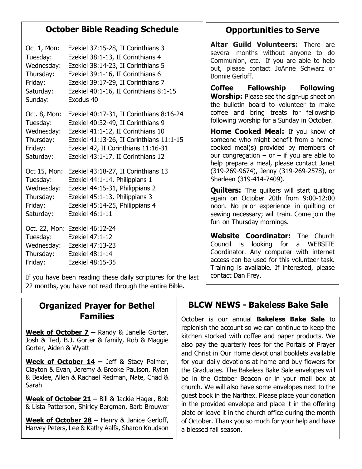## **October Bible Reading Schedule**

| Oct 1, Mon:                                    | Ezekiel 37:15-28, II Corinthians 3                                                                           |
|------------------------------------------------|--------------------------------------------------------------------------------------------------------------|
| Tuesday:                                       | Ezekiel 38:1-13, II Corinthians 4                                                                            |
| Wednesday:                                     | Ezekiel 38:14-23, II Corinthians 5                                                                           |
| Thursday:                                      | Ezekiel 39:1-16, II Corinthians 6                                                                            |
| Friday:                                        | Ezekiel 39:17-29, II Corinthians 7                                                                           |
| Saturday:                                      | Ezekiel 40:1-16, II Corinthians 8:1-15                                                                       |
| Sunday:                                        | Exodus 40                                                                                                    |
| Oct. 8, Mon:                                   | Ezekiel 40:17-31, II Corinthians 8:16-24                                                                     |
| Tuesday:                                       | Ezekiel 40:32-49, II Corinthians 9                                                                           |
| Wednesday:                                     | Ezekiel 41:1-12, II Corinthians 10                                                                           |
| Thursday:                                      | Ezekiel 41:13-26, II Corinthians 11:1-15                                                                     |
| Friday:                                        | Ezekiel 42, II Corinthians 11:16-31                                                                          |
| Saturday:                                      | Ezekiel 43:1-17, II Corinthians 12                                                                           |
| Oct 15, Mon:                                   | Ezekiel 43:18-27, II Corinthians 13                                                                          |
| Tuesday:                                       | Ezekiel 44:1-14, Philippians 1                                                                               |
| Wednesday:                                     | Ezekiel 44:15-31, Philippians 2                                                                              |
| Thursday:                                      | Ezekiel 45:1-13, Philippians 3                                                                               |
| Friday:                                        | Ezekiel 45:14-25, Philippians 4                                                                              |
| Saturday:                                      | Ezekiel 46:1-11                                                                                              |
| Tuesday:<br>Wednesday:<br>Thursday:<br>Friday: | Oct. 22, Mon: Ezekiel 46:12-24<br>Ezekiel 47:1-12<br>Ezekiel 47:13-23<br>Ezekiel 48:1-14<br>Ezekiel 48:15-35 |

If you have been reading these daily scriptures for the last 22 months, you have not read through the entire Bible.

## **Organized Prayer for Bethel Families**

**Week of October 7 –** Randy & Janelle Gorter, Josh & Ted, B.J. Gorter & family, Rob & Maggie Gorter, Aiden & Wyatt

**Week of October 14 –** Jeff & Stacy Palmer, Clayton & Evan, Jeremy & Brooke Paulson, Rylan & Bexlee, Allen & Rachael Redman, Nate, Chad & Sarah

**Week of October 21 –** Bill & Jackie Hager, Bob & Lista Patterson, Shirley Bergman, Barb Brouwer

**Week of October 28 –** Henry & Janice Gerloff, Harvey Peters, Lee & Kathy Aalfs, Sharon Knudson

# **Opportunities to Serve**

**Altar Guild Volunteers:** There are several months without anyone to do Communion, etc. If you are able to help out, please contact JoAnne Schwarz or Bonnie Gerloff.

**Coffee Fellowship Following Worship:** Please see the sign-up sheet on the bulletin board to volunteer to make coffee and bring treats for fellowship following worship for a Sunday in October.

**Home Cooked Meal:** If you know of someone who might benefit from a homecooked meal(s) provided by members of our congregation  $-$  or  $-$  if you are able to help prepare a meal, please contact Janet (319-269-9674), Jenny (319-269-2578), or Sharleen (319-414-7409).

**Quilters:** The quilters will start quilting again on October 20th from 9:00-12:00 noon. No prior experience in quilting or sewing necessary; will train. Come join the fun on Thursday mornings.

**Website Coordinator:** The Church Council is looking for a WEBSITE Coordinator. Any computer with internet access can be used for this volunteer task. Training is available. If interested, please contact Dan Frey.

# **BLCW NEWS - Bakeless Bake Sale**

October is our annual **Bakeless Bake Sale** to replenish the account so we can continue to keep the kitchen stocked with coffee and paper products. We also pay the quarterly fees for the Portals of Prayer and Christ in Our Home devotional booklets available for your daily devotions at home and buy flowers for the Graduates. The Bakeless Bake Sale envelopes will be in the October Beacon or in your mail box at church. We will also have some envelopes next to the guest book in the Narthex. Please place your donation in the provided envelope and place it in the offering plate or leave it in the church office during the month of October. Thank you so much for your help and have a blessed fall season.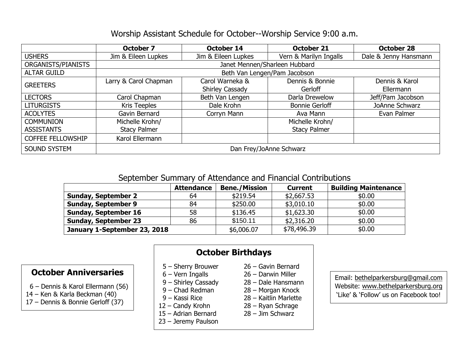#### Worship Assistant Schedule for October--Worship Service 9:00 a.m.

|                          | <b>October 7</b>              | <b>October 14</b>   | October 21             | <b>October 28</b>     |  |  |  |
|--------------------------|-------------------------------|---------------------|------------------------|-----------------------|--|--|--|
| <b>USHERS</b>            | Jim & Eileen Lupkes           | Jim & Eileen Lupkes | Vern & Marilyn Ingalls | Dale & Jenny Hansmann |  |  |  |
| ORGANISTS/PIANISTS       | Janet Mennen/Sharleen Hubbard |                     |                        |                       |  |  |  |
| <b>ALTAR GUILD</b>       | Beth Van Lengen/Pam Jacobson  |                     |                        |                       |  |  |  |
| <b>GREETERS</b>          | Larry & Carol Chapman         | Carol Warneka &     | Dennis & Bonnie        | Dennis & Karol        |  |  |  |
|                          |                               | Shirley Cassady     | Gerloff                | <b>Ellermann</b>      |  |  |  |
| <b>LECTORS</b>           | Carol Chapman                 | Beth Van Lengen     | Darla Drewelow         | Jeff/Pam Jacobson     |  |  |  |
| <b>LITURGISTS</b>        | Kris Teeples                  | Dale Krohn          | <b>Bonnie Gerloff</b>  | JoAnne Schwarz        |  |  |  |
| <b>ACOLYTES</b>          | Gavin Bernard                 | Corryn Mann         | Ava Mann               | Evan Palmer           |  |  |  |
| <b>COMMUNION</b>         | Michelle Krohn/               |                     | Michelle Krohn/        |                       |  |  |  |
| <b>ASSISTANTS</b>        | <b>Stacy Palmer</b>           |                     | <b>Stacy Palmer</b>    |                       |  |  |  |
| <b>COFFEE FELLOWSHIP</b> | Karol Ellermann               |                     |                        |                       |  |  |  |
| <b>SOUND SYSTEM</b>      | Dan Frey/JoAnne Schwarz       |                     |                        |                       |  |  |  |

#### September Summary of Attendance and Financial Contributions

|                              | <b>Attendance</b> | <b>Bene./Mission</b> | <b>Current</b> | <b>Building Maintenance</b> |
|------------------------------|-------------------|----------------------|----------------|-----------------------------|
| <b>Sunday, September 2</b>   | 64                | \$219.54             | \$2,667.53     | \$0.00                      |
| <b>Sunday, September 9</b>   | 84                | \$250.00             | \$3,010.10     | \$0.00                      |
| <b>Sunday, September 16</b>  | 58                | \$136.45             | \$1,623.30     | \$0.00                      |
| <b>Sunday, September 23</b>  | 86                | \$150.11             | \$2,316.20     | \$0.00                      |
| January 1-September 23, 2018 | \$6,006.07        | \$78,496.39          | \$0.00         |                             |

#### **October Anniversaries**

- 6 Dennis & Karol Ellermann (56)
- 14 Ken & Karla Beckman (40)
- 17 Dennis & Bonnie Gerloff (37)

## **October Birthdays**

- 5 Sherry Brouwer 26 Gavin Bernard
- 
- 
- 
- 
- 
- 15 Adrian Bernard 28 Jim Schwarz
- 23 Jeremy Paulson
- 
- 6 Vern Ingalls 26 Darwin Miller
- 9 Shirley Cassady 28 Dale Hansmann
- 9 Chad Redman 28 Morgan Knock
- 9 Kassi Rice 28 Kaitlin Marlette
- 12 Candy Krohn 28 Ryan Schrage
	-

Email: [bethelparkersburg@gmail.com](mailto:bethelparkersburg@gmail.com) Website: [www.bethelparkersburg.org](http://www.bethelparkersburg.org/) 'Like' & 'Follow' us on Facebook too!